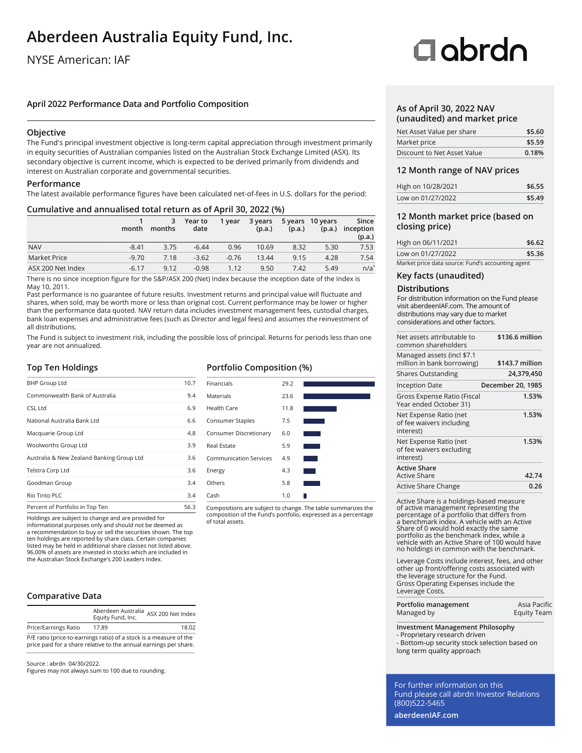# Clobrd

# **April 2022 Performance Data and Portfolio Composition**

## **Objective**

The Fund's principal investment objective is long-term capital appreciation through investment primarily in equity securities of Australian companies listed on the Australian Stock Exchange Limited (ASX). Its secondary objective is current income, which is expected to be derived primarily from dividends and interest on Australian corporate and governmental securities.

### **Performance**

The latest available performance figures have been calculated net-of-fees in U.S. dollars for the period:

# **Cumulative and annualised total return as of April 30, 2022 (%)**

|                   | month   | 3<br>months | Year to<br>date | 1 year  | 3 years<br>(p.a.) | (p.a.) | 5 years 10 years<br>(p.a.) | Since<br>inception<br>(p.a.) |
|-------------------|---------|-------------|-----------------|---------|-------------------|--------|----------------------------|------------------------------|
| <b>NAV</b>        | $-8.41$ | 3.75        | $-6.44$         | 0.96    | 10.69             | 8.32   | 5.30                       | 7.53                         |
| Market Price      | $-9.70$ | 7.18        | $-3.62$         | $-0.76$ | 13.44             | 9.15   | 4.28                       | 7.54                         |
| ASX 200 Net Index | $-6.17$ | 9.12        | $-0.98$         | 1.12    | 9.50              | 7.42   | 5.49                       | $n/a^*$                      |

There is no since inception figure for the S&P/ASX 200 (Net) Index because the inception date of the Index is May 10, 2011.

Past performance is no guarantee of future results. Investment returns and principal value will fluctuate and shares, when sold, may be worth more or less than original cost. Current performance may be lower or higher than the performance data quoted. NAV return data includes investment management fees, custodial charges, bank loan expenses and administrative fees (such as Director and legal fees) and assumes the reinvestment of all distributions.

The Fund is subject to investment risk, including the possible loss of principal. Returns for periods less than one year are not annualized.

# **Top Ten Holdings**

| <b>BHP Group Ltd</b>                      | 10.7 |
|-------------------------------------------|------|
| Commonwealth Bank of Australia            | 9.4  |
| CSL Ltd                                   | 6.9  |
| National Australia Bank Ltd               | 6.6  |
| Macquarie Group Ltd                       | 4.8  |
| Woolworths Group Ltd                      | 3.9  |
| Australia & New Zealand Banking Group Ltd | 3.6  |
| Telstra Corp Ltd                          | 3.6  |
| Goodman Group                             | 3.4  |
| Rio Tinto PLC                             | 3.4  |
| Percent of Portfolio in Top Ten           | 56.3 |

Holdings are subject to change and are provided for informational purposes only and should not be deemed as a recommendation to buy or sell the securities shown. The top ten holdings are reported by share class. Certain companies listed may be held in additional share classes not listed above. 96.00% of assets are invested in stocks which are included in the Australian Stock Exchange's 200 Leaders Index.

# **Comparative Data**

|                                                                                                                                         | Aberdeen Australia<br>Equity Fund, Inc. | ASX 200 Net Index |
|-----------------------------------------------------------------------------------------------------------------------------------------|-----------------------------------------|-------------------|
| Price/Earnings Ratio                                                                                                                    | 17.89                                   | 18.02             |
| P/E ratio (price-to-earnings ratio) of a stock is a measure of the<br>price paid for a share relative to the annual earnings per share. |                                         |                   |

Source : abrdn 04/30/2022.

Figures may not always sum to 100 due to rounding.

# **Portfolio Composition (%)**



Compositions are subject to change. The table summarizes the composition of the Fund's portfolio, expressed as a percentage of total assets.

### **As of April 30, 2022 NAV (unaudited) and market price**

| Net Asset Value per share   | \$5.60 |
|-----------------------------|--------|
| Market price                | \$5.59 |
| Discount to Net Asset Value | 0.18%  |

## **12 Month range of NAV prices**

| High on 10/28/2021 | \$6.55 |
|--------------------|--------|
| Low on 01/27/2022  | \$5.49 |

# **12 Month market price (based on closing price)**

| High on 06/11/2021                                | \$6.62 |
|---------------------------------------------------|--------|
| Low on 01/27/2022                                 | \$5.36 |
| Market price data source: Fund's accounting agent |        |

### **Key facts (unaudited)**

### **Distributions**

For distribution information on the Fund please visit aberdeenIAF.com. The amount of distributions may vary due to market considerations and other factors.

| Net assets attributable to<br>common shareholders               | \$136.6 million   |
|-----------------------------------------------------------------|-------------------|
| Managed assets (incl \$7.1<br>million in bank borrowing)        | \$143.7 million   |
| <b>Shares Outstanding</b>                                       | 24,379,450        |
| <b>Inception Date</b>                                           | December 20, 1985 |
| Gross Expense Ratio (Fiscal<br>Year ended October 31)           | 1.53%             |
| Net Expense Ratio (net<br>of fee waivers including<br>interest) | 1.53%             |
| Net Expense Ratio (net<br>of fee waivers excluding<br>interest) | 1.53%             |
| <b>Active Share</b><br><b>Active Share</b>                      | 42.74             |
| Active Share Change                                             | 0.26              |
|                                                                 |                   |

Active Share is a holdings-based measure of active management representing the percentage of a portfolio that differs from a benchmark index. A vehicle with an Active Share of 0 would hold exactly the same portfolio as the benchmark index, while a vehicle with an Active Share of 100 would have no holdings in common with the benchmark.

Leverage Costs include interest, fees, and other other up front/offering costs associated with the leverage structure for the Fund. Gross Operating Expenses include the Leverage Costs.

| Portfolio management | Asia Pacific       |
|----------------------|--------------------|
| Managed by           | <b>Equity Team</b> |

**Investment Management Philosophy**

- Proprietary research driven - Bottom-up security stock selection based on long term quality approach

For further information on this Fund please call abrdn Investor Relations (800)522-5465

**aberdeenIAF.com**